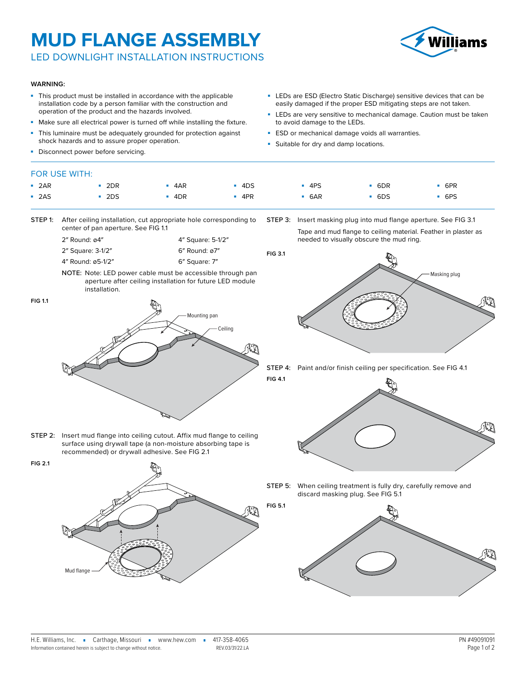## **MUD FLANGE ASSEMBLY**

LED DOWNLIGHT INSTALLATION INSTRUCTIONS



#### **WARNING:**

- This product must be installed in accordance with the applicable installation code by a person familiar with the construction and operation of the product and the hazards involved.
- Make sure all electrical power is turned off while installing the fixture.
- This luminaire must be adequately grounded for protection against shock hazards and to assure proper operation.
- Disconne

## **FOR USE**

| ect power before servicing. |  |  |  |  |  |  |  |  |  |  |  |
|-----------------------------|--|--|--|--|--|--|--|--|--|--|--|
| : WITH:                     |  |  |  |  |  |  |  |  |  |  |  |
|                             |  |  |  |  |  |  |  |  |  |  |  |

**FIG 5.1**

to avoid damage to the LEDs.

**-** Suitable for dry and damp locations.

**ESD** or mechanical damage voids all warranties.

| $-2AR$ | $-2DR$ | $-4AR$ | $-4DS$ | $-4PS$ | 6DR | 6PR    |
|--------|--------|--------|--------|--------|-----|--------|
| $-2AS$ | $-2DS$ | $-4DR$ | 4PR    | $-6AR$ | 6DS | $-6PS$ |

- STEP 1: After ceiling installation, cut appropriate hole corresponding to center of pan aperture. See [FIG 1.1](#page-0-0)
	- 2″ Round: ø4″ 2″ Square: 3-1/2″ 4″ Square: 5-1/2″ 6″ Round: ø7″
	- 4″ Round: ø5-1/2″ 6″ Square: 7″
	- NOTE: Note: LED power cable must be accessible through pan aperture after ceiling installation for future LED module installation.

**FIG 1.1**

**FIG 2.1**

<span id="page-0-0"></span>

STEP 2: Insert mud flange into ceiling cutout. Affix mud flange to ceiling

Tape and mud flange to ceiling material. Feather in plaster as needed to visually obscure the mud ring. **FIG 3.1**

STEP 3: Insert masking plug into mud flange aperture. See [FIG 3.1](#page-0-2)

■ LEDs are ESD (Electro Static Discharge) sensitive devices that can be easily damaged if the proper ESD mitigating steps are not taken. ■ LEDs are very sensitive to mechanical damage. Caution must be taken

<span id="page-0-2"></span>

Step 4: Paint and/or finish ceiling per specification. See [FIG 4.1](#page-0-3) **FIG 4.1**

<span id="page-0-3"></span>

surface using drywall tape (a non-moisture absorbing tape is recommended) or drywall adhesive. See [FIG 2.1](#page-0-1)

<span id="page-0-1"></span>Mud flange

STEP 5: When ceiling treatment is fully dry, carefully remove and discard masking plug. See [FIG 5.1](#page-0-4)

<span id="page-0-4"></span>